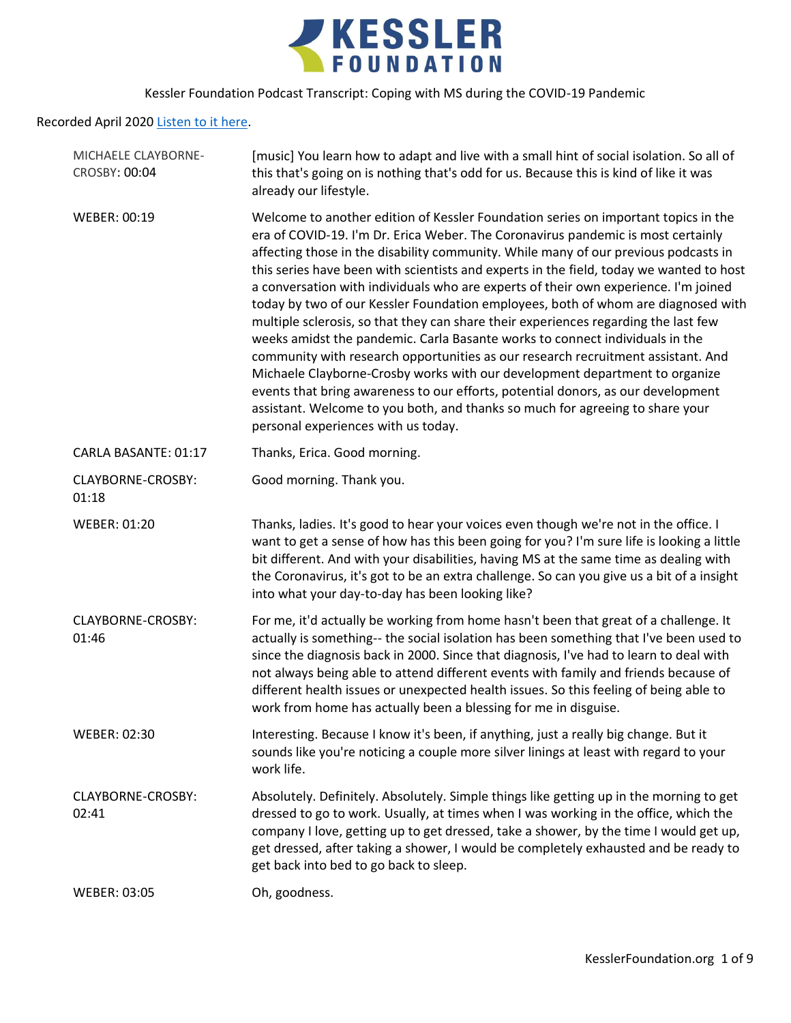

Recorded April 2020 [Listen to it here.](https://soundcloud.com/kesslerfoundation/coping-with-ms-during-the-covid-19-pandemic)

| [music] You learn how to adapt and live with a small hint of social isolation. So all of<br>this that's going on is nothing that's odd for us. Because this is kind of like it was<br>already our lifestyle.                                                                                                                                                                                                                                                                                                                                                                                                                                                                                                                                                                                                                                                                                                                                                                                                                                                                               |
|--------------------------------------------------------------------------------------------------------------------------------------------------------------------------------------------------------------------------------------------------------------------------------------------------------------------------------------------------------------------------------------------------------------------------------------------------------------------------------------------------------------------------------------------------------------------------------------------------------------------------------------------------------------------------------------------------------------------------------------------------------------------------------------------------------------------------------------------------------------------------------------------------------------------------------------------------------------------------------------------------------------------------------------------------------------------------------------------|
| Welcome to another edition of Kessler Foundation series on important topics in the<br>era of COVID-19. I'm Dr. Erica Weber. The Coronavirus pandemic is most certainly<br>affecting those in the disability community. While many of our previous podcasts in<br>this series have been with scientists and experts in the field, today we wanted to host<br>a conversation with individuals who are experts of their own experience. I'm joined<br>today by two of our Kessler Foundation employees, both of whom are diagnosed with<br>multiple sclerosis, so that they can share their experiences regarding the last few<br>weeks amidst the pandemic. Carla Basante works to connect individuals in the<br>community with research opportunities as our research recruitment assistant. And<br>Michaele Clayborne-Crosby works with our development department to organize<br>events that bring awareness to our efforts, potential donors, as our development<br>assistant. Welcome to you both, and thanks so much for agreeing to share your<br>personal experiences with us today. |
| Thanks, Erica. Good morning.                                                                                                                                                                                                                                                                                                                                                                                                                                                                                                                                                                                                                                                                                                                                                                                                                                                                                                                                                                                                                                                               |
| Good morning. Thank you.                                                                                                                                                                                                                                                                                                                                                                                                                                                                                                                                                                                                                                                                                                                                                                                                                                                                                                                                                                                                                                                                   |
| Thanks, ladies. It's good to hear your voices even though we're not in the office. I<br>want to get a sense of how has this been going for you? I'm sure life is looking a little<br>bit different. And with your disabilities, having MS at the same time as dealing with<br>the Coronavirus, it's got to be an extra challenge. So can you give us a bit of a insight<br>into what your day-to-day has been looking like?                                                                                                                                                                                                                                                                                                                                                                                                                                                                                                                                                                                                                                                                |
| For me, it'd actually be working from home hasn't been that great of a challenge. It<br>actually is something-- the social isolation has been something that I've been used to<br>since the diagnosis back in 2000. Since that diagnosis, I've had to learn to deal with<br>not always being able to attend different events with family and friends because of<br>different health issues or unexpected health issues. So this feeling of being able to<br>work from home has actually been a blessing for me in disguise.                                                                                                                                                                                                                                                                                                                                                                                                                                                                                                                                                                |
| Interesting. Because I know it's been, if anything, just a really big change. But it<br>sounds like you're noticing a couple more silver linings at least with regard to your<br>work life.                                                                                                                                                                                                                                                                                                                                                                                                                                                                                                                                                                                                                                                                                                                                                                                                                                                                                                |
| Absolutely. Definitely. Absolutely. Simple things like getting up in the morning to get<br>dressed to go to work. Usually, at times when I was working in the office, which the<br>company I love, getting up to get dressed, take a shower, by the time I would get up,                                                                                                                                                                                                                                                                                                                                                                                                                                                                                                                                                                                                                                                                                                                                                                                                                   |
| get dressed, after taking a shower, I would be completely exhausted and be ready to<br>get back into bed to go back to sleep.                                                                                                                                                                                                                                                                                                                                                                                                                                                                                                                                                                                                                                                                                                                                                                                                                                                                                                                                                              |
|                                                                                                                                                                                                                                                                                                                                                                                                                                                                                                                                                                                                                                                                                                                                                                                                                                                                                                                                                                                                                                                                                            |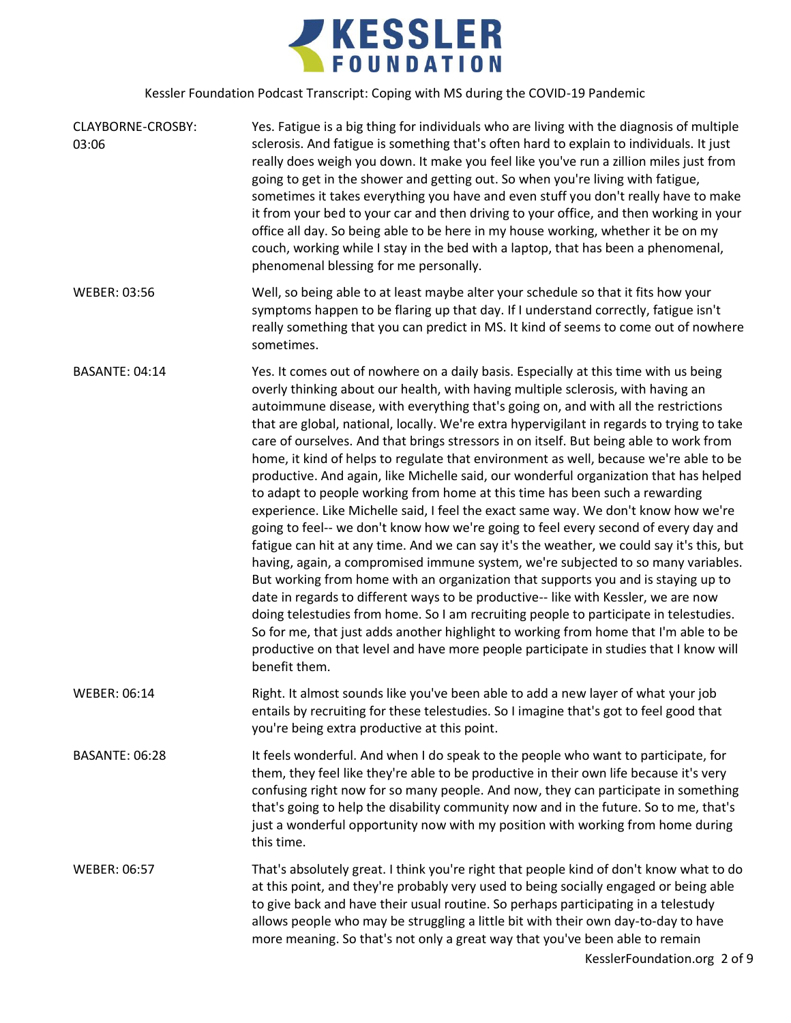

| CLAYBORNE-CROSBY:<br>03:06 | Yes. Fatigue is a big thing for individuals who are living with the diagnosis of multiple<br>sclerosis. And fatigue is something that's often hard to explain to individuals. It just<br>really does weigh you down. It make you feel like you've run a zillion miles just from<br>going to get in the shower and getting out. So when you're living with fatigue,<br>sometimes it takes everything you have and even stuff you don't really have to make<br>it from your bed to your car and then driving to your office, and then working in your<br>office all day. So being able to be here in my house working, whether it be on my<br>couch, working while I stay in the bed with a laptop, that has been a phenomenal,<br>phenomenal blessing for me personally.                                                                                                                                                                                                                                                                                                                                                                                                                                                                                                                                                                                                                                                                                                                                                                                      |
|----------------------------|--------------------------------------------------------------------------------------------------------------------------------------------------------------------------------------------------------------------------------------------------------------------------------------------------------------------------------------------------------------------------------------------------------------------------------------------------------------------------------------------------------------------------------------------------------------------------------------------------------------------------------------------------------------------------------------------------------------------------------------------------------------------------------------------------------------------------------------------------------------------------------------------------------------------------------------------------------------------------------------------------------------------------------------------------------------------------------------------------------------------------------------------------------------------------------------------------------------------------------------------------------------------------------------------------------------------------------------------------------------------------------------------------------------------------------------------------------------------------------------------------------------------------------------------------------------|
| <b>WEBER: 03:56</b>        | Well, so being able to at least maybe alter your schedule so that it fits how your<br>symptoms happen to be flaring up that day. If I understand correctly, fatigue isn't<br>really something that you can predict in MS. It kind of seems to come out of nowhere<br>sometimes.                                                                                                                                                                                                                                                                                                                                                                                                                                                                                                                                                                                                                                                                                                                                                                                                                                                                                                                                                                                                                                                                                                                                                                                                                                                                              |
| <b>BASANTE: 04:14</b>      | Yes. It comes out of nowhere on a daily basis. Especially at this time with us being<br>overly thinking about our health, with having multiple sclerosis, with having an<br>autoimmune disease, with everything that's going on, and with all the restrictions<br>that are global, national, locally. We're extra hypervigilant in regards to trying to take<br>care of ourselves. And that brings stressors in on itself. But being able to work from<br>home, it kind of helps to regulate that environment as well, because we're able to be<br>productive. And again, like Michelle said, our wonderful organization that has helped<br>to adapt to people working from home at this time has been such a rewarding<br>experience. Like Michelle said, I feel the exact same way. We don't know how we're<br>going to feel-- we don't know how we're going to feel every second of every day and<br>fatigue can hit at any time. And we can say it's the weather, we could say it's this, but<br>having, again, a compromised immune system, we're subjected to so many variables.<br>But working from home with an organization that supports you and is staying up to<br>date in regards to different ways to be productive-- like with Kessler, we are now<br>doing telestudies from home. So I am recruiting people to participate in telestudies.<br>So for me, that just adds another highlight to working from home that I'm able to be<br>productive on that level and have more people participate in studies that I know will<br>benefit them. |
| <b>WEBER: 06:14</b>        | Right. It almost sounds like you've been able to add a new layer of what your job<br>entails by recruiting for these telestudies. So I imagine that's got to feel good that<br>you're being extra productive at this point.                                                                                                                                                                                                                                                                                                                                                                                                                                                                                                                                                                                                                                                                                                                                                                                                                                                                                                                                                                                                                                                                                                                                                                                                                                                                                                                                  |
| <b>BASANTE: 06:28</b>      | It feels wonderful. And when I do speak to the people who want to participate, for<br>them, they feel like they're able to be productive in their own life because it's very<br>confusing right now for so many people. And now, they can participate in something<br>that's going to help the disability community now and in the future. So to me, that's<br>just a wonderful opportunity now with my position with working from home during<br>this time.                                                                                                                                                                                                                                                                                                                                                                                                                                                                                                                                                                                                                                                                                                                                                                                                                                                                                                                                                                                                                                                                                                 |
| <b>WEBER: 06:57</b>        | That's absolutely great. I think you're right that people kind of don't know what to do<br>at this point, and they're probably very used to being socially engaged or being able<br>to give back and have their usual routine. So perhaps participating in a telestudy<br>allows people who may be struggling a little bit with their own day-to-day to have<br>more meaning. So that's not only a great way that you've been able to remain<br>KesslerFoundation.org 2 of 9                                                                                                                                                                                                                                                                                                                                                                                                                                                                                                                                                                                                                                                                                                                                                                                                                                                                                                                                                                                                                                                                                 |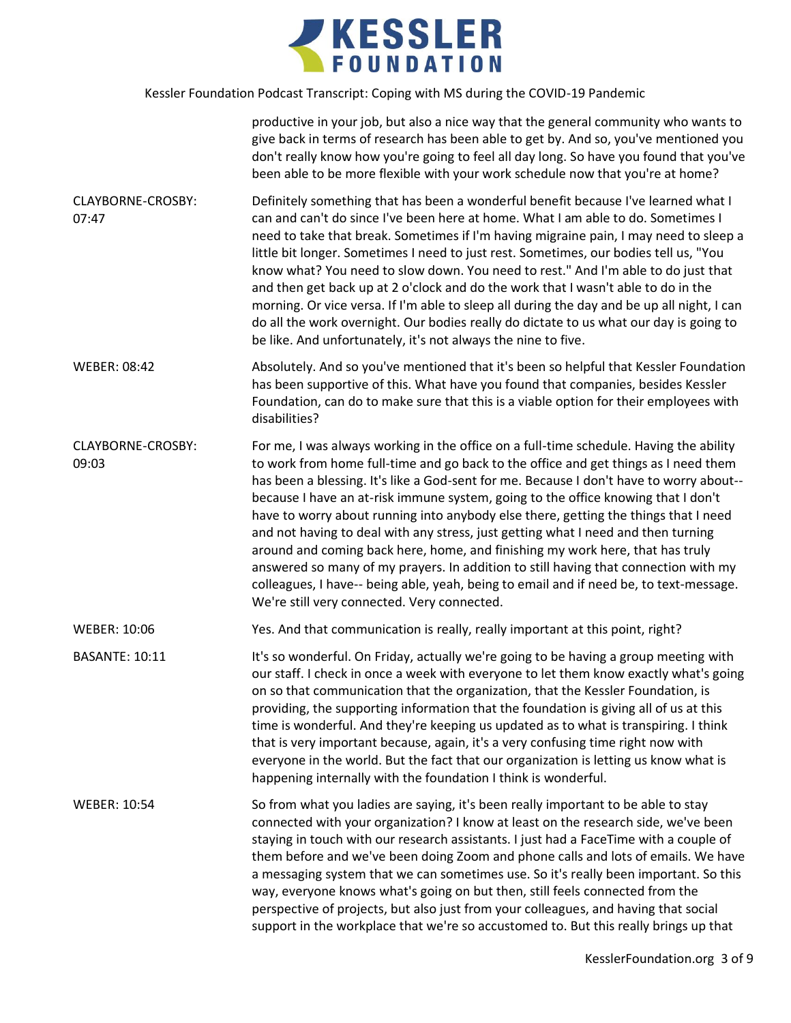

|                            | productive in your job, but also a nice way that the general community who wants to<br>give back in terms of research has been able to get by. And so, you've mentioned you<br>don't really know how you're going to feel all day long. So have you found that you've<br>been able to be more flexible with your work schedule now that you're at home?                                                                                                                                                                                                                                                                                                                                                                                                                                                                                                    |
|----------------------------|------------------------------------------------------------------------------------------------------------------------------------------------------------------------------------------------------------------------------------------------------------------------------------------------------------------------------------------------------------------------------------------------------------------------------------------------------------------------------------------------------------------------------------------------------------------------------------------------------------------------------------------------------------------------------------------------------------------------------------------------------------------------------------------------------------------------------------------------------------|
| CLAYBORNE-CROSBY:<br>07:47 | Definitely something that has been a wonderful benefit because I've learned what I<br>can and can't do since I've been here at home. What I am able to do. Sometimes I<br>need to take that break. Sometimes if I'm having migraine pain, I may need to sleep a<br>little bit longer. Sometimes I need to just rest. Sometimes, our bodies tell us, "You<br>know what? You need to slow down. You need to rest." And I'm able to do just that<br>and then get back up at 2 o'clock and do the work that I wasn't able to do in the<br>morning. Or vice versa. If I'm able to sleep all during the day and be up all night, I can<br>do all the work overnight. Our bodies really do dictate to us what our day is going to<br>be like. And unfortunately, it's not always the nine to five.                                                                |
| <b>WEBER: 08:42</b>        | Absolutely. And so you've mentioned that it's been so helpful that Kessler Foundation<br>has been supportive of this. What have you found that companies, besides Kessler<br>Foundation, can do to make sure that this is a viable option for their employees with<br>disabilities?                                                                                                                                                                                                                                                                                                                                                                                                                                                                                                                                                                        |
| CLAYBORNE-CROSBY:<br>09:03 | For me, I was always working in the office on a full-time schedule. Having the ability<br>to work from home full-time and go back to the office and get things as I need them<br>has been a blessing. It's like a God-sent for me. Because I don't have to worry about--<br>because I have an at-risk immune system, going to the office knowing that I don't<br>have to worry about running into anybody else there, getting the things that I need<br>and not having to deal with any stress, just getting what I need and then turning<br>around and coming back here, home, and finishing my work here, that has truly<br>answered so many of my prayers. In addition to still having that connection with my<br>colleagues, I have-- being able, yeah, being to email and if need be, to text-message.<br>We're still very connected. Very connected. |
| <b>WEBER: 10:06</b>        | Yes. And that communication is really, really important at this point, right?                                                                                                                                                                                                                                                                                                                                                                                                                                                                                                                                                                                                                                                                                                                                                                              |
| <b>BASANTE: 10:11</b>      | It's so wonderful. On Friday, actually we're going to be having a group meeting with<br>our staff. I check in once a week with everyone to let them know exactly what's going<br>on so that communication that the organization, that the Kessler Foundation, is<br>providing, the supporting information that the foundation is giving all of us at this<br>time is wonderful. And they're keeping us updated as to what is transpiring. I think<br>that is very important because, again, it's a very confusing time right now with<br>everyone in the world. But the fact that our organization is letting us know what is<br>happening internally with the foundation I think is wonderful.                                                                                                                                                            |
| <b>WEBER: 10:54</b>        | So from what you ladies are saying, it's been really important to be able to stay<br>connected with your organization? I know at least on the research side, we've been<br>staying in touch with our research assistants. I just had a FaceTime with a couple of<br>them before and we've been doing Zoom and phone calls and lots of emails. We have<br>a messaging system that we can sometimes use. So it's really been important. So this<br>way, everyone knows what's going on but then, still feels connected from the<br>perspective of projects, but also just from your colleagues, and having that social<br>support in the workplace that we're so accustomed to. But this really brings up that                                                                                                                                               |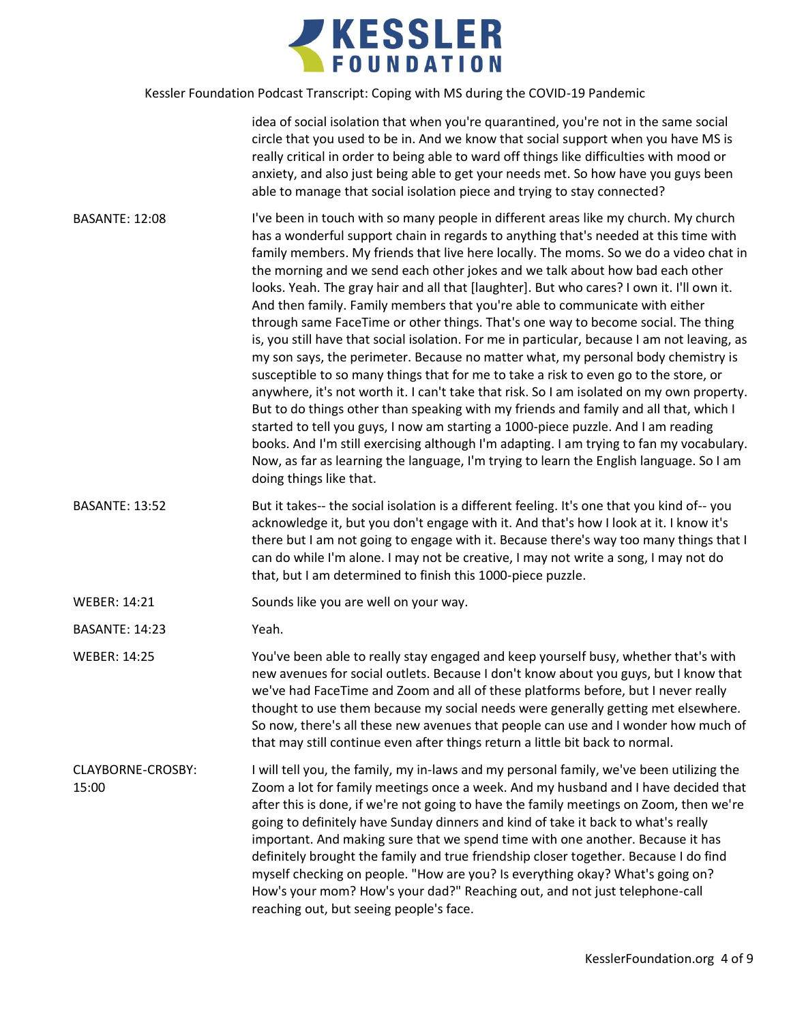

idea of social isolation that when you're quarantined, you're not in the same social circle that you used to be in. And we know that social support when you have MS is really critical in order to being able to ward off things like difficulties with mood or anxiety, and also just being able to get your needs met. So how have you guys been able to manage that social isolation piece and trying to stay connected?

- BASANTE: 12:08 I've been in touch with so many people in different areas like my church. My church has a wonderful support chain in regards to anything that's needed at this time with family members. My friends that live here locally. The moms. So we do a video chat in the morning and we send each other jokes and we talk about how bad each other looks. Yeah. The gray hair and all that [laughter]. But who cares? I own it. I'll own it. And then family. Family members that you're able to communicate with either through same FaceTime or other things. That's one way to become social. The thing is, you still have that social isolation. For me in particular, because I am not leaving, as my son says, the perimeter. Because no matter what, my personal body chemistry is susceptible to so many things that for me to take a risk to even go to the store, or anywhere, it's not worth it. I can't take that risk. So I am isolated on my own property. But to do things other than speaking with my friends and family and all that, which I started to tell you guys, I now am starting a 1000-piece puzzle. And I am reading books. And I'm still exercising although I'm adapting. I am trying to fan my vocabulary. Now, as far as learning the language, I'm trying to learn the English language. So I am doing things like that.
- BASANTE: 13:52 But it takes-- the social isolation is a different feeling. It's one that you kind of-- you acknowledge it, but you don't engage with it. And that's how I look at it. I know it's there but I am not going to engage with it. Because there's way too many things that I can do while I'm alone. I may not be creative, I may not write a song, I may not do that, but I am determined to finish this 1000-piece puzzle.

WEBER: 14:21 Sounds like you are well on your way.

BASANTE: 14:23 Yeah.

WEBER: 14:25 You've been able to really stay engaged and keep yourself busy, whether that's with new avenues for social outlets. Because I don't know about you guys, but I know that we've had FaceTime and Zoom and all of these platforms before, but I never really thought to use them because my social needs were generally getting met elsewhere. So now, there's all these new avenues that people can use and I wonder how much of that may still continue even after things return a little bit back to normal.

CLAYBORNE-CROSBY: 15:00 I will tell you, the family, my in-laws and my personal family, we've been utilizing the Zoom a lot for family meetings once a week. And my husband and I have decided that after this is done, if we're not going to have the family meetings on Zoom, then we're going to definitely have Sunday dinners and kind of take it back to what's really important. And making sure that we spend time with one another. Because it has definitely brought the family and true friendship closer together. Because I do find myself checking on people. "How are you? Is everything okay? What's going on? How's your mom? How's your dad?" Reaching out, and not just telephone-call reaching out, but seeing people's face.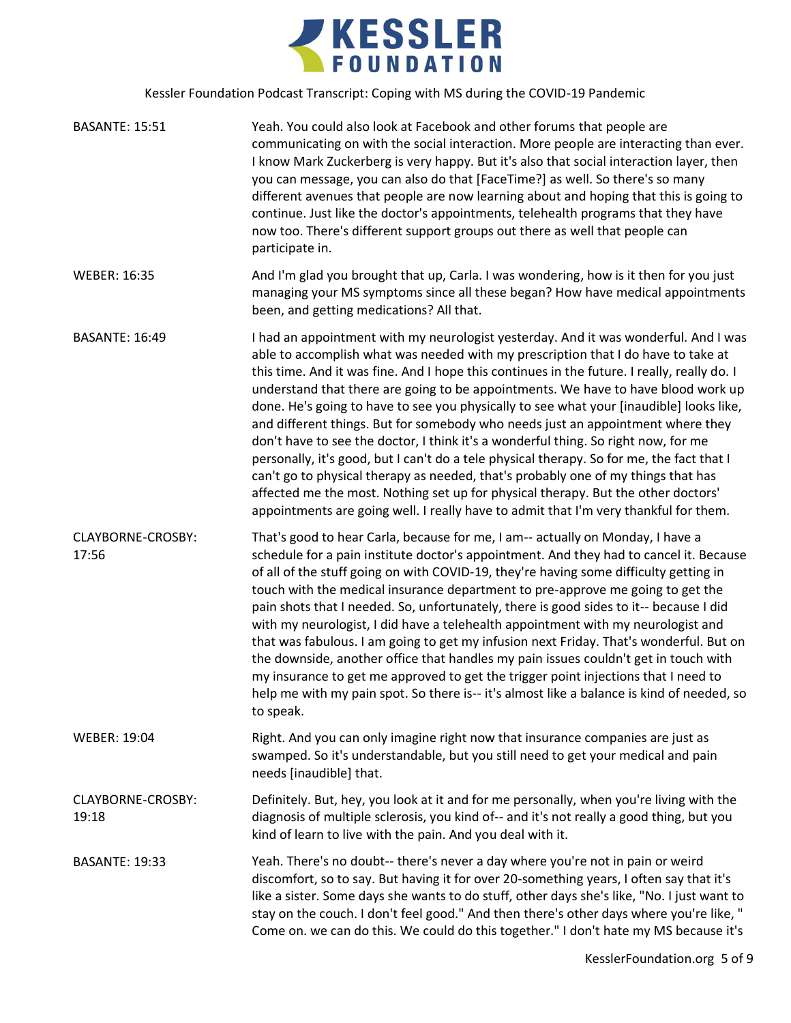

| <b>BASANTE: 15:51</b>      | Yeah. You could also look at Facebook and other forums that people are<br>communicating on with the social interaction. More people are interacting than ever.<br>I know Mark Zuckerberg is very happy. But it's also that social interaction layer, then<br>you can message, you can also do that [FaceTime?] as well. So there's so many<br>different avenues that people are now learning about and hoping that this is going to<br>continue. Just like the doctor's appointments, telehealth programs that they have<br>now too. There's different support groups out there as well that people can<br>participate in.                                                                                                                                                                                                                                                                                                                                                                      |
|----------------------------|-------------------------------------------------------------------------------------------------------------------------------------------------------------------------------------------------------------------------------------------------------------------------------------------------------------------------------------------------------------------------------------------------------------------------------------------------------------------------------------------------------------------------------------------------------------------------------------------------------------------------------------------------------------------------------------------------------------------------------------------------------------------------------------------------------------------------------------------------------------------------------------------------------------------------------------------------------------------------------------------------|
| <b>WEBER: 16:35</b>        | And I'm glad you brought that up, Carla. I was wondering, how is it then for you just<br>managing your MS symptoms since all these began? How have medical appointments<br>been, and getting medications? All that.                                                                                                                                                                                                                                                                                                                                                                                                                                                                                                                                                                                                                                                                                                                                                                             |
| <b>BASANTE: 16:49</b>      | I had an appointment with my neurologist yesterday. And it was wonderful. And I was<br>able to accomplish what was needed with my prescription that I do have to take at<br>this time. And it was fine. And I hope this continues in the future. I really, really do. I<br>understand that there are going to be appointments. We have to have blood work up<br>done. He's going to have to see you physically to see what your [inaudible] looks like,<br>and different things. But for somebody who needs just an appointment where they<br>don't have to see the doctor, I think it's a wonderful thing. So right now, for me<br>personally, it's good, but I can't do a tele physical therapy. So for me, the fact that I<br>can't go to physical therapy as needed, that's probably one of my things that has<br>affected me the most. Nothing set up for physical therapy. But the other doctors'<br>appointments are going well. I really have to admit that I'm very thankful for them. |
| CLAYBORNE-CROSBY:<br>17:56 | That's good to hear Carla, because for me, I am-- actually on Monday, I have a<br>schedule for a pain institute doctor's appointment. And they had to cancel it. Because<br>of all of the stuff going on with COVID-19, they're having some difficulty getting in<br>touch with the medical insurance department to pre-approve me going to get the<br>pain shots that I needed. So, unfortunately, there is good sides to it-- because I did<br>with my neurologist, I did have a telehealth appointment with my neurologist and<br>that was fabulous. I am going to get my infusion next Friday. That's wonderful. But on<br>the downside, another office that handles my pain issues couldn't get in touch with<br>my insurance to get me approved to get the trigger point injections that I need to<br>help me with my pain spot. So there is-- it's almost like a balance is kind of needed, so<br>to speak.                                                                              |
| <b>WEBER: 19:04</b>        | Right. And you can only imagine right now that insurance companies are just as<br>swamped. So it's understandable, but you still need to get your medical and pain<br>needs [inaudible] that.                                                                                                                                                                                                                                                                                                                                                                                                                                                                                                                                                                                                                                                                                                                                                                                                   |
| CLAYBORNE-CROSBY:<br>19:18 | Definitely. But, hey, you look at it and for me personally, when you're living with the<br>diagnosis of multiple sclerosis, you kind of-- and it's not really a good thing, but you<br>kind of learn to live with the pain. And you deal with it.                                                                                                                                                                                                                                                                                                                                                                                                                                                                                                                                                                                                                                                                                                                                               |
| <b>BASANTE: 19:33</b>      | Yeah. There's no doubt-- there's never a day where you're not in pain or weird<br>discomfort, so to say. But having it for over 20-something years, I often say that it's<br>like a sister. Some days she wants to do stuff, other days she's like, "No. I just want to<br>stay on the couch. I don't feel good." And then there's other days where you're like, "<br>Come on. we can do this. We could do this together." I don't hate my MS because it's                                                                                                                                                                                                                                                                                                                                                                                                                                                                                                                                      |
|                            | KesslerFoundation.org 5 of 9                                                                                                                                                                                                                                                                                                                                                                                                                                                                                                                                                                                                                                                                                                                                                                                                                                                                                                                                                                    |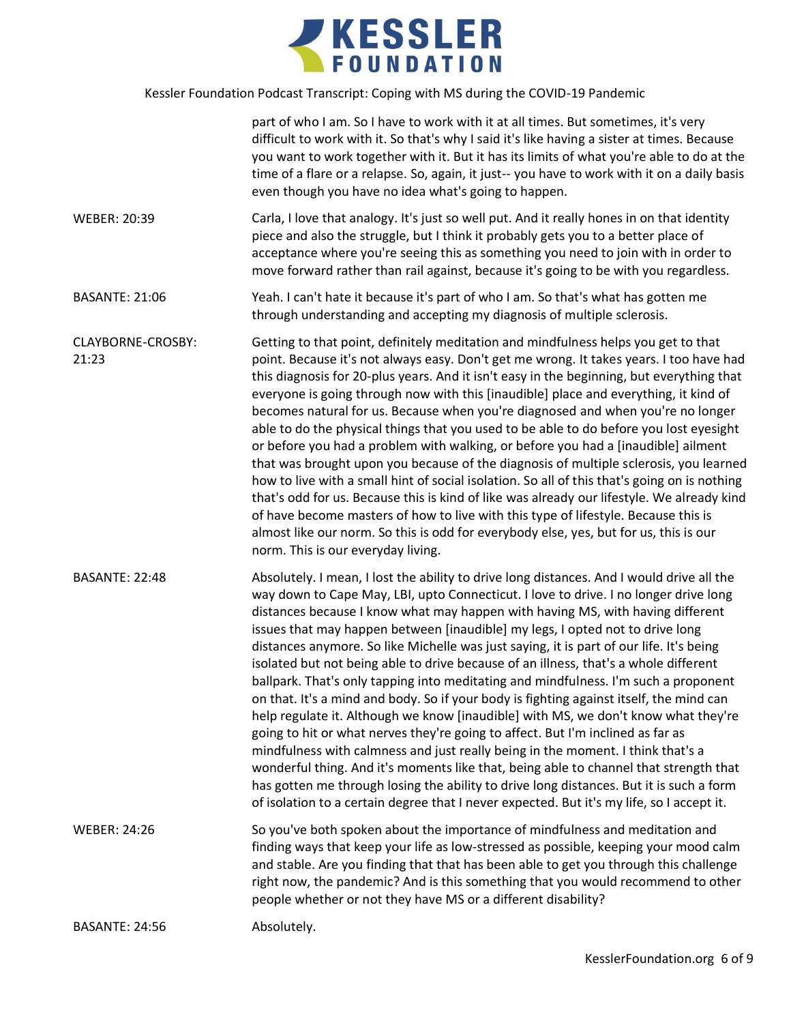

|                            | part of who I am. So I have to work with it at all times. But sometimes, it's very<br>difficult to work with it. So that's why I said it's like having a sister at times. Because<br>you want to work together with it. But it has its limits of what you're able to do at the<br>time of a flare or a relapse. So, again, it just-- you have to work with it on a daily basis<br>even though you have no idea what's going to happen.                                                                                                                                                                                                                                                                                                                                                                                                                                                                                                                                                                                                                                                                                                                                                                                                                                 |
|----------------------------|------------------------------------------------------------------------------------------------------------------------------------------------------------------------------------------------------------------------------------------------------------------------------------------------------------------------------------------------------------------------------------------------------------------------------------------------------------------------------------------------------------------------------------------------------------------------------------------------------------------------------------------------------------------------------------------------------------------------------------------------------------------------------------------------------------------------------------------------------------------------------------------------------------------------------------------------------------------------------------------------------------------------------------------------------------------------------------------------------------------------------------------------------------------------------------------------------------------------------------------------------------------------|
| <b>WEBER: 20:39</b>        | Carla, I love that analogy. It's just so well put. And it really hones in on that identity<br>piece and also the struggle, but I think it probably gets you to a better place of<br>acceptance where you're seeing this as something you need to join with in order to<br>move forward rather than rail against, because it's going to be with you regardless.                                                                                                                                                                                                                                                                                                                                                                                                                                                                                                                                                                                                                                                                                                                                                                                                                                                                                                         |
| <b>BASANTE: 21:06</b>      | Yeah. I can't hate it because it's part of who I am. So that's what has gotten me<br>through understanding and accepting my diagnosis of multiple sclerosis.                                                                                                                                                                                                                                                                                                                                                                                                                                                                                                                                                                                                                                                                                                                                                                                                                                                                                                                                                                                                                                                                                                           |
| CLAYBORNE-CROSBY:<br>21:23 | Getting to that point, definitely meditation and mindfulness helps you get to that<br>point. Because it's not always easy. Don't get me wrong. It takes years. I too have had<br>this diagnosis for 20-plus years. And it isn't easy in the beginning, but everything that<br>everyone is going through now with this [inaudible] place and everything, it kind of<br>becomes natural for us. Because when you're diagnosed and when you're no longer<br>able to do the physical things that you used to be able to do before you lost eyesight<br>or before you had a problem with walking, or before you had a [inaudible] ailment<br>that was brought upon you because of the diagnosis of multiple sclerosis, you learned<br>how to live with a small hint of social isolation. So all of this that's going on is nothing<br>that's odd for us. Because this is kind of like was already our lifestyle. We already kind<br>of have become masters of how to live with this type of lifestyle. Because this is<br>almost like our norm. So this is odd for everybody else, yes, but for us, this is our<br>norm. This is our everyday living.                                                                                                                       |
| <b>BASANTE: 22:48</b>      | Absolutely. I mean, I lost the ability to drive long distances. And I would drive all the<br>way down to Cape May, LBI, upto Connecticut. I love to drive. I no longer drive long<br>distances because I know what may happen with having MS, with having different<br>issues that may happen between [inaudible] my legs, I opted not to drive long<br>distances anymore. So like Michelle was just saying, it is part of our life. It's being<br>isolated but not being able to drive because of an illness, that's a whole different<br>ballpark. That's only tapping into meditating and mindfulness. I'm such a proponent<br>on that. It's a mind and body. So if your body is fighting against itself, the mind can<br>help regulate it. Although we know [inaudible] with MS, we don't know what they're<br>going to hit or what nerves they're going to affect. But I'm inclined as far as<br>mindfulness with calmness and just really being in the moment. I think that's a<br>wonderful thing. And it's moments like that, being able to channel that strength that<br>has gotten me through losing the ability to drive long distances. But it is such a form<br>of isolation to a certain degree that I never expected. But it's my life, so I accept it. |
| <b>WEBER: 24:26</b>        | So you've both spoken about the importance of mindfulness and meditation and<br>finding ways that keep your life as low-stressed as possible, keeping your mood calm<br>and stable. Are you finding that that has been able to get you through this challenge<br>right now, the pandemic? And is this something that you would recommend to other<br>people whether or not they have MS or a different disability?                                                                                                                                                                                                                                                                                                                                                                                                                                                                                                                                                                                                                                                                                                                                                                                                                                                     |
| <b>BASANTE: 24:56</b>      | Absolutely.                                                                                                                                                                                                                                                                                                                                                                                                                                                                                                                                                                                                                                                                                                                                                                                                                                                                                                                                                                                                                                                                                                                                                                                                                                                            |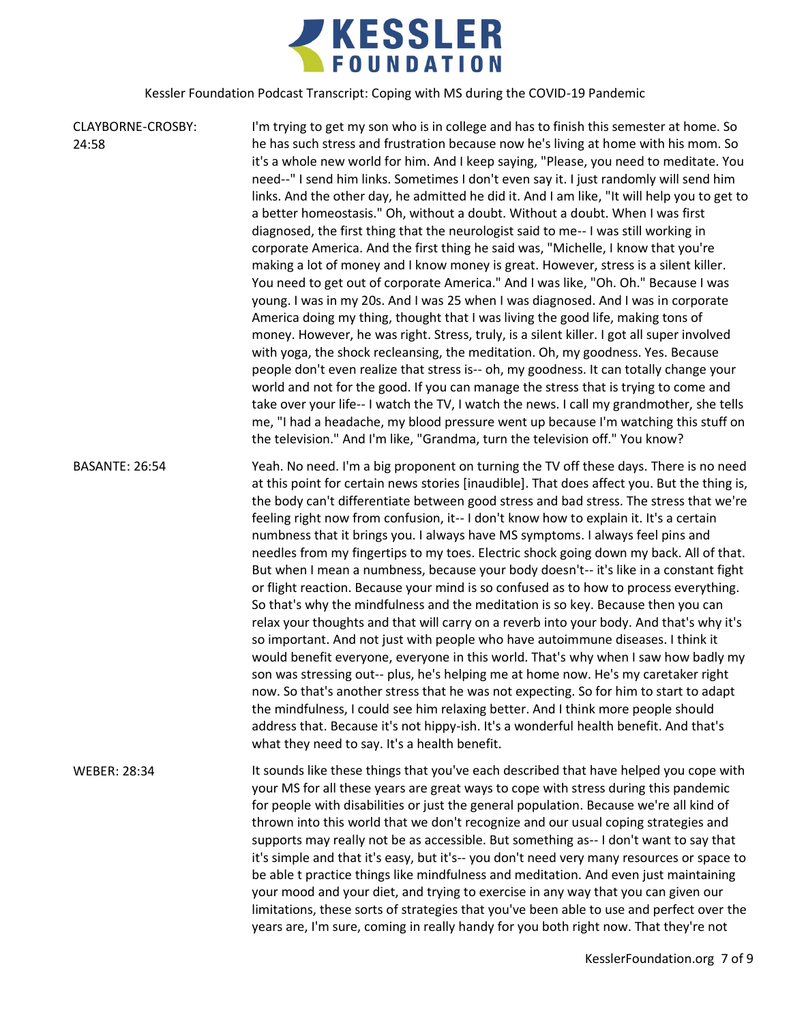

| CLAYBORNE-CROSBY:<br>24:58 | I'm trying to get my son who is in college and has to finish this semester at home. So<br>he has such stress and frustration because now he's living at home with his mom. So<br>it's a whole new world for him. And I keep saying, "Please, you need to meditate. You<br>need--" I send him links. Sometimes I don't even say it. I just randomly will send him<br>links. And the other day, he admitted he did it. And I am like, "It will help you to get to<br>a better homeostasis." Oh, without a doubt. Without a doubt. When I was first<br>diagnosed, the first thing that the neurologist said to me-- I was still working in<br>corporate America. And the first thing he said was, "Michelle, I know that you're<br>making a lot of money and I know money is great. However, stress is a silent killer.<br>You need to get out of corporate America." And I was like, "Oh. Oh." Because I was<br>young. I was in my 20s. And I was 25 when I was diagnosed. And I was in corporate<br>America doing my thing, thought that I was living the good life, making tons of<br>money. However, he was right. Stress, truly, is a silent killer. I got all super involved<br>with yoga, the shock recleansing, the meditation. Oh, my goodness. Yes. Because<br>people don't even realize that stress is-- oh, my goodness. It can totally change your<br>world and not for the good. If you can manage the stress that is trying to come and<br>take over your life-- I watch the TV, I watch the news. I call my grandmother, she tells<br>me, "I had a headache, my blood pressure went up because I'm watching this stuff on<br>the television." And I'm like, "Grandma, turn the television off." You know? |
|----------------------------|------------------------------------------------------------------------------------------------------------------------------------------------------------------------------------------------------------------------------------------------------------------------------------------------------------------------------------------------------------------------------------------------------------------------------------------------------------------------------------------------------------------------------------------------------------------------------------------------------------------------------------------------------------------------------------------------------------------------------------------------------------------------------------------------------------------------------------------------------------------------------------------------------------------------------------------------------------------------------------------------------------------------------------------------------------------------------------------------------------------------------------------------------------------------------------------------------------------------------------------------------------------------------------------------------------------------------------------------------------------------------------------------------------------------------------------------------------------------------------------------------------------------------------------------------------------------------------------------------------------------------------------------------------------------------------------------------------------------|
| <b>BASANTE: 26:54</b>      | Yeah. No need. I'm a big proponent on turning the TV off these days. There is no need<br>at this point for certain news stories [inaudible]. That does affect you. But the thing is,<br>the body can't differentiate between good stress and bad stress. The stress that we're<br>feeling right now from confusion, it-- I don't know how to explain it. It's a certain<br>numbness that it brings you. I always have MS symptoms. I always feel pins and<br>needles from my fingertips to my toes. Electric shock going down my back. All of that.<br>But when I mean a numbness, because your body doesn't-- it's like in a constant fight<br>or flight reaction. Because your mind is so confused as to how to process everything.<br>So that's why the mindfulness and the meditation is so key. Because then you can<br>relax your thoughts and that will carry on a reverb into your body. And that's why it's<br>so important. And not just with people who have autoimmune diseases. I think it<br>would benefit everyone, everyone in this world. That's why when I saw how badly my<br>son was stressing out-- plus, he's helping me at home now. He's my caretaker right<br>now. So that's another stress that he was not expecting. So for him to start to adapt<br>the mindfulness, I could see him relaxing better. And I think more people should<br>address that. Because it's not hippy-ish. It's a wonderful health benefit. And that's<br>what they need to say. It's a health benefit.                                                                                                                                                                                                             |
| <b>WEBER: 28:34</b>        | It sounds like these things that you've each described that have helped you cope with<br>your MS for all these years are great ways to cope with stress during this pandemic<br>for people with disabilities or just the general population. Because we're all kind of<br>thrown into this world that we don't recognize and our usual coping strategies and<br>supports may really not be as accessible. But something as-- I don't want to say that<br>it's simple and that it's easy, but it's-- you don't need very many resources or space to<br>be able t practice things like mindfulness and meditation. And even just maintaining<br>your mood and your diet, and trying to exercise in any way that you can given our<br>limitations, these sorts of strategies that you've been able to use and perfect over the<br>years are, I'm sure, coming in really handy for you both right now. That they're not                                                                                                                                                                                                                                                                                                                                                                                                                                                                                                                                                                                                                                                                                                                                                                                                    |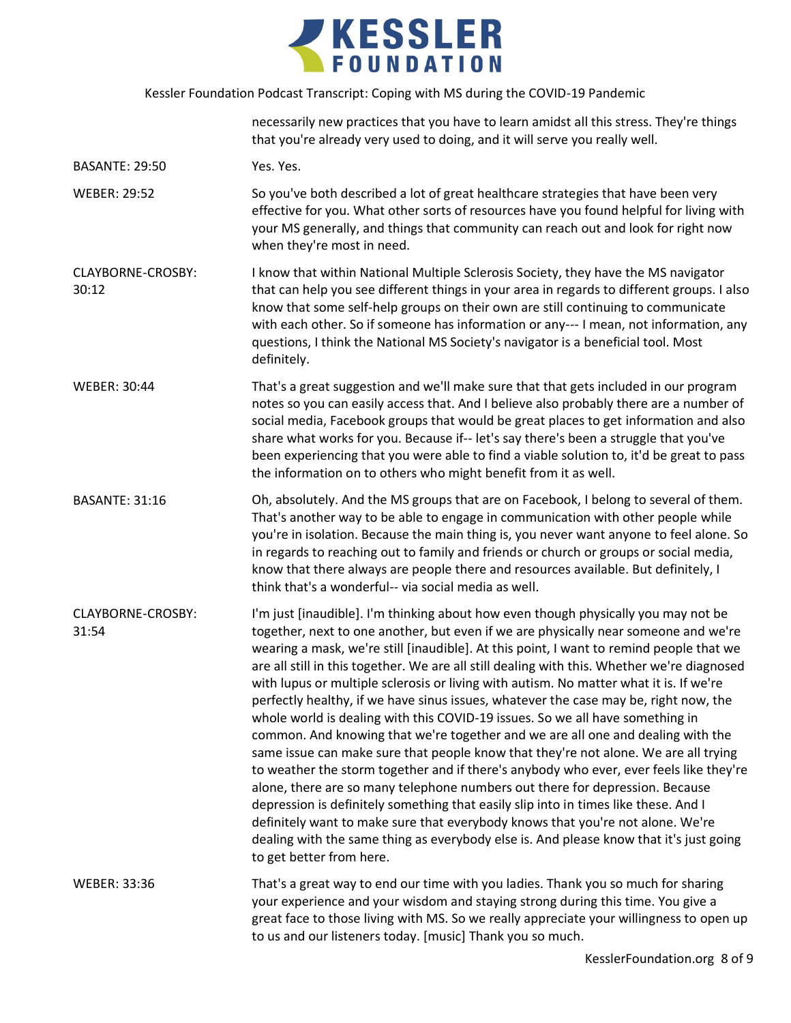

|                            | necessarily new practices that you have to learn amidst all this stress. They're things<br>that you're already very used to doing, and it will serve you really well.                                                                                                                                                                                                                                                                                                                                                                                                                                                                                                                                                                                                                                                                                                                                                                                                                                                                                                                                                                                                                                                                                                                     |
|----------------------------|-------------------------------------------------------------------------------------------------------------------------------------------------------------------------------------------------------------------------------------------------------------------------------------------------------------------------------------------------------------------------------------------------------------------------------------------------------------------------------------------------------------------------------------------------------------------------------------------------------------------------------------------------------------------------------------------------------------------------------------------------------------------------------------------------------------------------------------------------------------------------------------------------------------------------------------------------------------------------------------------------------------------------------------------------------------------------------------------------------------------------------------------------------------------------------------------------------------------------------------------------------------------------------------------|
| <b>BASANTE: 29:50</b>      | Yes. Yes.                                                                                                                                                                                                                                                                                                                                                                                                                                                                                                                                                                                                                                                                                                                                                                                                                                                                                                                                                                                                                                                                                                                                                                                                                                                                                 |
| <b>WEBER: 29:52</b>        | So you've both described a lot of great healthcare strategies that have been very<br>effective for you. What other sorts of resources have you found helpful for living with<br>your MS generally, and things that community can reach out and look for right now<br>when they're most in need.                                                                                                                                                                                                                                                                                                                                                                                                                                                                                                                                                                                                                                                                                                                                                                                                                                                                                                                                                                                           |
| CLAYBORNE-CROSBY:<br>30:12 | I know that within National Multiple Sclerosis Society, they have the MS navigator<br>that can help you see different things in your area in regards to different groups. I also<br>know that some self-help groups on their own are still continuing to communicate<br>with each other. So if someone has information or any--- I mean, not information, any<br>questions, I think the National MS Society's navigator is a beneficial tool. Most<br>definitely.                                                                                                                                                                                                                                                                                                                                                                                                                                                                                                                                                                                                                                                                                                                                                                                                                         |
| <b>WEBER: 30:44</b>        | That's a great suggestion and we'll make sure that that gets included in our program<br>notes so you can easily access that. And I believe also probably there are a number of<br>social media, Facebook groups that would be great places to get information and also<br>share what works for you. Because if-- let's say there's been a struggle that you've<br>been experiencing that you were able to find a viable solution to, it'd be great to pass<br>the information on to others who might benefit from it as well.                                                                                                                                                                                                                                                                                                                                                                                                                                                                                                                                                                                                                                                                                                                                                             |
| <b>BASANTE: 31:16</b>      | Oh, absolutely. And the MS groups that are on Facebook, I belong to several of them.<br>That's another way to be able to engage in communication with other people while<br>you're in isolation. Because the main thing is, you never want anyone to feel alone. So<br>in regards to reaching out to family and friends or church or groups or social media,<br>know that there always are people there and resources available. But definitely, I<br>think that's a wonderful-- via social media as well.                                                                                                                                                                                                                                                                                                                                                                                                                                                                                                                                                                                                                                                                                                                                                                                |
| CLAYBORNE-CROSBY:<br>31:54 | I'm just [inaudible]. I'm thinking about how even though physically you may not be<br>together, next to one another, but even if we are physically near someone and we're<br>wearing a mask, we're still [inaudible]. At this point, I want to remind people that we<br>are all still in this together. We are all still dealing with this. Whether we're diagnosed<br>with lupus or multiple sclerosis or living with autism. No matter what it is. If we're<br>perfectly healthy, if we have sinus issues, whatever the case may be, right now, the<br>whole world is dealing with this COVID-19 issues. So we all have something in<br>common. And knowing that we're together and we are all one and dealing with the<br>same issue can make sure that people know that they're not alone. We are all trying<br>to weather the storm together and if there's anybody who ever, ever feels like they're<br>alone, there are so many telephone numbers out there for depression. Because<br>depression is definitely something that easily slip into in times like these. And I<br>definitely want to make sure that everybody knows that you're not alone. We're<br>dealing with the same thing as everybody else is. And please know that it's just going<br>to get better from here. |
| <b>WEBER: 33:36</b>        | That's a great way to end our time with you ladies. Thank you so much for sharing<br>your experience and your wisdom and staying strong during this time. You give a<br>great face to those living with MS. So we really appreciate your willingness to open up<br>to us and our listeners today. [music] Thank you so much.                                                                                                                                                                                                                                                                                                                                                                                                                                                                                                                                                                                                                                                                                                                                                                                                                                                                                                                                                              |